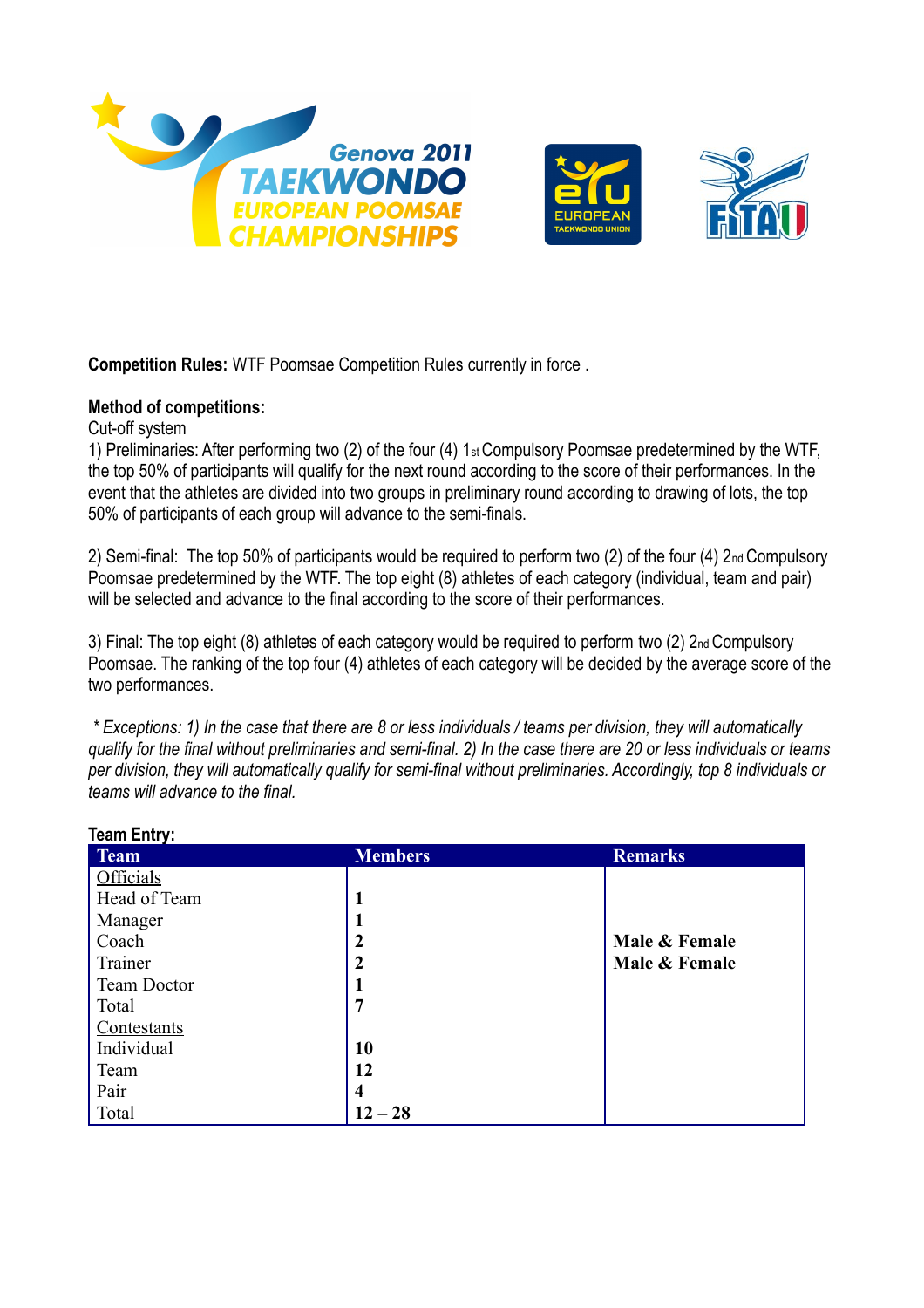



**Competition Rules:** WTF Poomsae Competition Rules currently in force .

## **Method of competitions:**

Cut-off system

1) Preliminaries: After performing two (2) of the four (4) 1st Compulsory Poomsae predetermined by the WTF, the top 50% of participants will qualify for the next round according to the score of their performances. In the event that the athletes are divided into two groups in preliminary round according to drawing of lots, the top 50% of participants of each group will advance to the semi-finals.

2) Semi-final: The top 50% of participants would be required to perform two (2) of the four (4) 2nd Compulsory Poomsae predetermined by the WTF. The top eight (8) athletes of each category (individual, team and pair) will be selected and advance to the final according to the score of their performances.

3) Final: The top eight (8) athletes of each category would be required to perform two (2) 2nd Compulsory Poomsae. The ranking of the top four (4) athletes of each category will be decided by the average score of the two performances.

*\* Exceptions: 1) In the case that there are 8 or less individuals / teams per division, they will automatically qualify for the final without preliminaries and semi-final. 2) In the case there are 20 or less individuals or teams per division, they will automatically qualify for semi-final without preliminaries. Accordingly, top 8 individuals or teams will advance to the final.* 

| <b>Members</b>   | <b>Remarks</b> |
|------------------|----------------|
|                  |                |
| 1                |                |
| $\mathbf{1}$     |                |
| $\boldsymbol{2}$ | Male & Female  |
| $\overline{2}$   | Male & Female  |
| 1                |                |
| 7                |                |
|                  |                |
| 10               |                |
| 12               |                |
| 4                |                |
| $12 - 28$        |                |
|                  |                |

**Team Entry: Team Members Remarks**